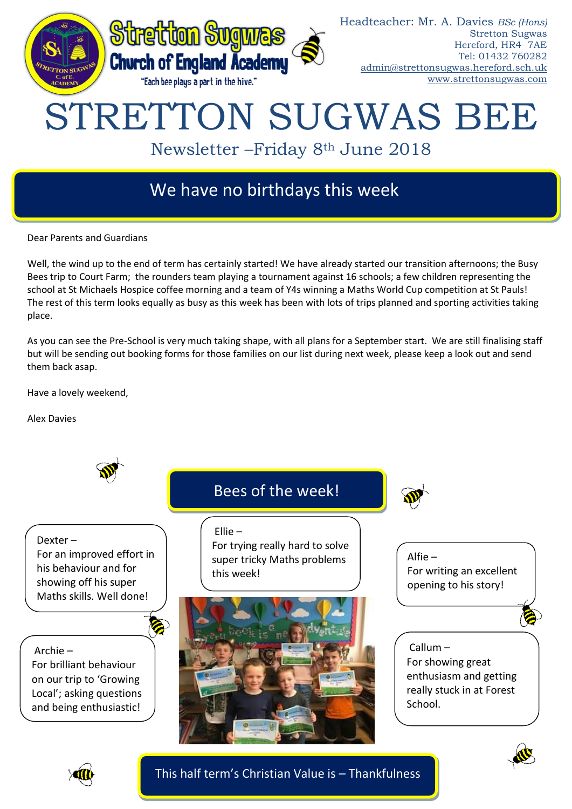

# We have no birthdays this week

Dear Parents and Guardians

Well, the wind up to the end of term has certainly started! We have already started our transition afternoons; the Busy Bees trip to Court Farm; the rounders team playing a tournament against 16 schools; a few children representing the school at St Michaels Hospice coffee morning and a team of Y4s winning a Maths World Cup competition at St Pauls! The rest of this term looks equally as busy as this week has been with lots of trips planned and sporting activities taking place.

As you can see the Pre-School is very much taking shape, with all plans for a September start. We are still finalising staff but will be sending out booking forms for those families on our list during next week, please keep a look out and send them back asap.

Have a lovely weekend,

Alex Davies







This half term's Christian Value is – Thankfulness